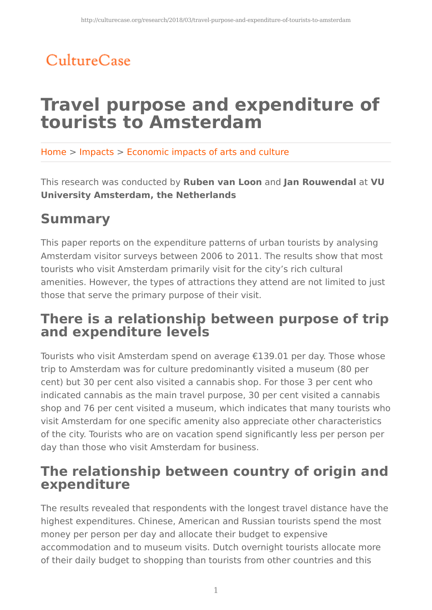# CultureCase

# **Travel purpose and expenditure of tourists to Amsterdam**

Home > Impacts > Economic impacts of arts and culture

This research was conducted by **Ruben van Loon** and **Jan Rouwendal** at **VU University Amsterdam, the Netherlands**

## **Summary**

This paper reports on the expenditure patterns of urban tourists by analysing Amsterdam visitor surveys between 2006 to 2011. The results show that most tourists who visit Amsterdam primarily visit for the city's rich cultural amenities. However, the types of attractions they attend are not limited to just those that serve the primary purpose of their visit.

## **There is a relationship between purpose of trip and expenditure levels**

Tourists who visit Amsterdam spend on average €139.01 per day. Those whose trip to Amsterdam was for culture predominantly visited a museum (80 per cent) but 30 per cent also visited a cannabis shop. For those 3 per cent who indicated cannabis as the main travel purpose, 30 per cent visited a cannabis shop and 76 per cent visited a museum, which indicates that many tourists who visit Amsterdam for one specific amenity also appreciate other characteristics of the city. Tourists who are on vacation spend significantly less per person per day than those who visit Amsterdam for business.

### **The relationship between country of origin and expenditure**

The results revealed that respondents with the longest travel distance have the highest expenditures. Chinese, American and Russian tourists spend the most money per person per day and allocate their budget to expensive accommodation and to museum visits. Dutch overnight tourists allocate more of their daily budget to shopping than tourists from other countries and this